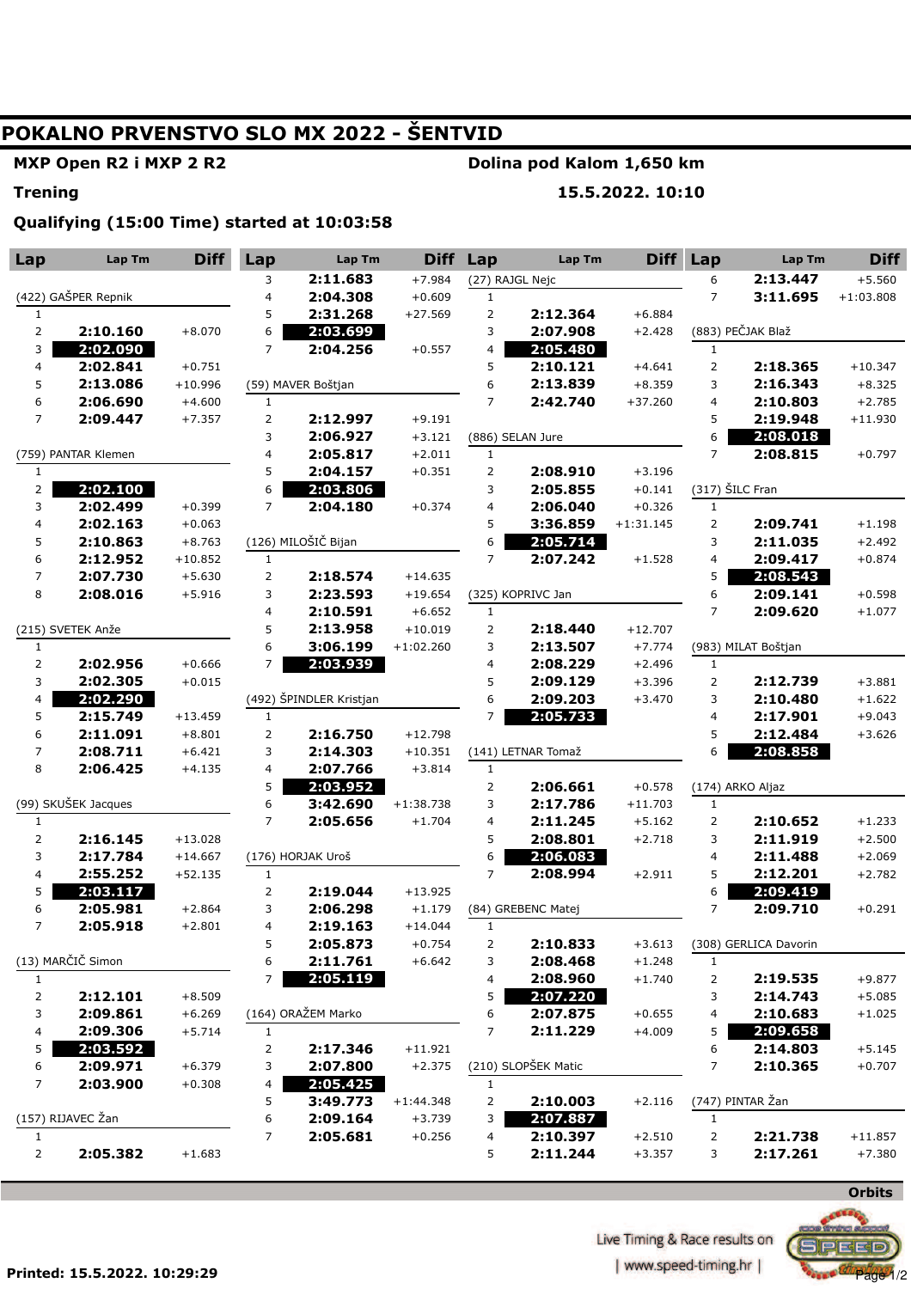# **POKALNO PRVENSTVO SLO MX 2022 - ŠENTVID**

#### **MXP Open R2 i MXP 2 R2**

### **Dolina pod Kalom 1,650 km**

**Trening** 

**15.5.2022. 10:10** 

**Qualifying (15:00 Time) started at 10:03:58** 

| Lap                     | Lap Tm               | <b>Diff</b>           | Lap                            | Lap Tm                  | <b>Diff</b>     | Lap                     | Lap Tm              | <b>Diff</b> | Lap            | Lap Tm                | <b>Diff</b> |
|-------------------------|----------------------|-----------------------|--------------------------------|-------------------------|-----------------|-------------------------|---------------------|-------------|----------------|-----------------------|-------------|
|                         |                      | 3                     | 2:11.683                       | $+7.984$                | (27) RAJGL Nejc |                         |                     | 6           | 2:13.447       | $+5.560$              |             |
|                         | (422) GAŠPER Repnik  |                       | 4                              | 2:04.308                | $+0.609$        | $\mathbf{1}$            |                     |             | $\overline{7}$ | 3:11.695              | $+1:03.808$ |
| 1                       |                      |                       | 5                              | 2:31.268                | $+27.569$       | $\overline{2}$          | 2:12.364            | $+6.884$    |                |                       |             |
| $\overline{\mathbf{c}}$ | 2:10.160             | $+8.070$              | 6                              | 2:03.699                |                 | 3                       | 2:07.908            | $+2.428$    |                | (883) PEČJAK Blaž     |             |
| 3                       | 2:02.090             |                       | $\overline{7}$                 | 2:04.256                | $+0.557$        | $\overline{\mathbf{4}}$ | 2:05.480            |             | $\mathbf{1}$   |                       |             |
| 4                       | 2:02.841             | $+0.751$              |                                |                         |                 | 5                       | 2:10.121            | $+4.641$    | $\overline{2}$ | 2:18.365              | $+10.347$   |
| 5                       | 2:13.086             | $+10.996$             |                                | (59) MAVER Boštjan      |                 | 6                       | 2:13.839            | $+8.359$    | 3              | 2:16.343              | $+8.325$    |
| 6                       | 2:06.690             | $+4.600$              | $\mathbf{1}$                   |                         |                 | $\overline{7}$          | 2:42.740            | $+37.260$   | $\overline{4}$ | 2:10.803              | $+2.785$    |
| 7                       | 2:09.447             | $+7.357$              | 2                              | 2:12.997                | $+9.191$        |                         |                     |             | 5              | 2:19.948              | $+11.930$   |
|                         |                      | 3                     | 2:06.927                       | $+3.121$                |                 | (886) SELAN Jure        |                     | 6           | 2:08.018       |                       |             |
| (759) PANTAR Klemen     |                      | 4                     | 2:05.817                       | $+2.011$                | $\mathbf{1}$    |                         |                     | 7           | 2:08.815       | $+0.797$              |             |
| $\mathbf{1}$            |                      |                       | 5                              | 2:04.157                | $+0.351$        | $\overline{2}$          | 2:08.910            | $+3.196$    |                |                       |             |
| $\mathbf{2}$            | 2:02.100             |                       | 6                              | 2:03.806                |                 | 3                       | 2:05.855            | $+0.141$    |                | (317) ŠILC Fran       |             |
| 3                       | 2:02.499             | $+0.399$              | $\overline{7}$                 | 2:04.180                | $+0.374$        | $\overline{\mathbf{4}}$ | 2:06.040            | $+0.326$    | $\mathbf{1}$   |                       |             |
| 4                       | 2:02.163             | $+0.063$              |                                | (126) MILOŠIČ Bijan     |                 | 5                       | 3:36.859            | $+1:31.145$ | $\overline{2}$ | 2:09.741              | $+1.198$    |
| 5                       | 2:10.863             | $+8.763$              |                                |                         |                 | 6<br>$\overline{7}$     | 2:05.714            |             | 3              | 2:11.035              | $+2.492$    |
| 6<br>7                  | 2:12.952<br>2:07.730 | $+10.852$<br>$+5.630$ | $\mathbf{1}$<br>$\overline{2}$ |                         | $+14.635$       |                         | 2:07.242            | $+1.528$    | 4<br>5         | 2:09.417<br>2:08.543  | $+0.874$    |
| 8                       | 2:08.016             | $+5.916$              | 3                              | 2:18.574<br>2:23.593    | $+19.654$       |                         | (325) KOPRIVC Jan   |             | 6              | 2:09.141              | $+0.598$    |
|                         |                      |                       | 4                              | 2:10.591                | $+6.652$        | $\mathbf{1}$            |                     |             | $\overline{7}$ | 2:09.620              | $+1.077$    |
|                         | (215) SVETEK Anže    |                       | 5                              | 2:13.958                | $+10.019$       | $\overline{2}$          | 2:18.440            | $+12.707$   |                |                       |             |
| 1                       |                      |                       | 6                              | 3:06.199                | $+1:02.260$     | 3                       | 2:13.507            | $+7.774$    |                | (983) MILAT Boštjan   |             |
| $\overline{2}$          | 2:02.956             | $+0.666$              | $\overline{7}$                 | 2:03.939                |                 | $\overline{\mathbf{4}}$ | 2:08.229            | $+2.496$    | $\mathbf{1}$   |                       |             |
| 3                       | 2:02.305             | $+0.015$              |                                |                         |                 | 5                       | 2:09.129            | $+3.396$    | $\overline{2}$ | 2:12.739              | $+3.881$    |
| 4                       | 2:02.290             |                       |                                | (492) ŠPINDLER Kristjan |                 | 6                       | 2:09.203            | $+3.470$    | 3              | 2:10.480              | $+1.622$    |
| 5                       | 2:15.749             | $+13.459$             | $\mathbf{1}$                   |                         |                 | $\overline{7}$          | 2:05.733            |             | 4              | 2:17.901              | $+9.043$    |
| 6                       | 2:11.091             | $+8.801$              | $\overline{2}$                 | 2:16.750                | $+12.798$       |                         |                     |             | 5              | 2:12.484              | $+3.626$    |
| 7                       | 2:08.711             | $+6.421$              | 3                              | 2:14.303                | $+10.351$       |                         | (141) LETNAR Tomaž  |             | 6              | 2:08.858              |             |
| 8                       | 2:06.425             | $+4.135$              | 4                              | 2:07.766                | $+3.814$        | $\mathbf{1}$            |                     |             |                |                       |             |
|                         |                      |                       | 5                              | 2:03.952                |                 | $\overline{2}$          | 2:06.661            | $+0.578$    |                | (174) ARKO Aljaz      |             |
|                         | (99) SKUŠEK Jacques  |                       | 6                              | 3:42.690                | $+1:38.738$     | 3                       | 2:17.786            | $+11.703$   | $\mathbf{1}$   |                       |             |
| $\mathbf{1}$            |                      |                       | 7                              | 2:05.656                | $+1.704$        | $\overline{\mathbf{4}}$ | 2:11.245            | $+5.162$    | 2              | 2:10.652              | $+1.233$    |
| $\mathbf{2}$            | 2:16.145             | $+13.028$             |                                |                         |                 | 5                       | 2:08.801            | $+2.718$    | 3              | 2:11.919              | $+2.500$    |
| 3                       | 2:17.784             | $+14.667$             |                                | (176) HORJAK Uroš       |                 | 6                       | 2:06.083            |             | 4              | 2:11.488              | $+2.069$    |
| 4                       | 2:55.252             | $+52.135$             | $\mathbf{1}$                   |                         |                 | $\overline{7}$          | 2:08.994            | $+2.911$    | 5              | 2:12.201              | $+2.782$    |
| 5                       | 2:03.117             |                       | $\overline{2}$                 | 2:19.044                | $+13.925$       |                         |                     |             | 6              | 2:09.419              |             |
| 6                       | 2:05.981             | $+2.864$              | 3                              | 2:06.298                | $+1.179$        |                         | (84) GREBENC Matej  |             | $\overline{7}$ | 2:09.710              | $+0.291$    |
| 7                       | 2:05.918             | $+2.801$              | $\overline{4}$                 | 2:19.163                | $+14.044$       | $\mathbf{1}$            |                     |             |                |                       |             |
|                         |                      |                       | 5                              | 2:05.873                | $+0.754$        | $\overline{2}$          | 2:10.833            | $+3.613$    |                | (308) GERLICA Davorin |             |
|                         | (13) MARČIČ Simon    |                       | 6                              | 2:11.761                | $+6.642$        | 3                       | 2:08.468            | $+1.248$    | $\mathbf{1}$   |                       |             |
| $\mathbf{1}$            |                      |                       | 7                              | 2:05.119                |                 | 4                       | 2:08.960            | $+1.740$    | $\overline{2}$ | 2:19.535              | $+9.877$    |
| $\overline{c}$          | 2:12.101             | $+8.509$              |                                |                         |                 | 5                       | 2:07.220            |             | 3              | 2:14.743              | $+5.085$    |
| 3                       | 2:09.861             | $+6.269$              |                                | (164) ORAŽEM Marko      |                 | 6                       | 2:07.875            | $+0.655$    | 4              | 2:10.683              | $+1.025$    |
| 4                       | 2:09.306             | $+5.714$              | $\mathbf{1}$                   |                         |                 | $\overline{7}$          | 2:11.229            | $+4.009$    | 5              | 2:09.658              |             |
| 5                       | 2:03.592             |                       | 2                              | 2:17.346                | $+11.921$       |                         |                     |             | 6              | 2:14.803              | $+5.145$    |
| 6                       | 2:09.971             | $+6.379$              | 3                              | 2:07.800                | $+2.375$        |                         | (210) SLOPŠEK Matic |             | 7              | 2:10.365              | $+0.707$    |
| $\overline{7}$          | 2:03.900             | $+0.308$              | 4                              | 2:05.425                |                 | $\mathbf{1}$            |                     |             |                |                       |             |
|                         |                      |                       | 5                              | 3:49.773                | $+1:44.348$     | $\overline{2}$          | 2:10.003            | $+2.116$    |                | (747) PINTAR Žan      |             |
|                         | (157) RIJAVEC Žan    |                       | 6                              | 2:09.164                | $+3.739$        | 3                       | 2:07.887            |             | $\mathbf{1}$   |                       |             |
| 1                       |                      |                       | 7                              | 2:05.681                | $+0.256$        | 4                       | 2:10.397            | $+2.510$    | $\overline{2}$ | 2:21.738              | $+11.857$   |
| 2                       | 2:05.382             | $+1.683$              |                                |                         |                 | 5                       | 2:11.244            | $+3.357$    | 3              | 2:17.261              | $+7.380$    |



**Licensed-timing.hr |**